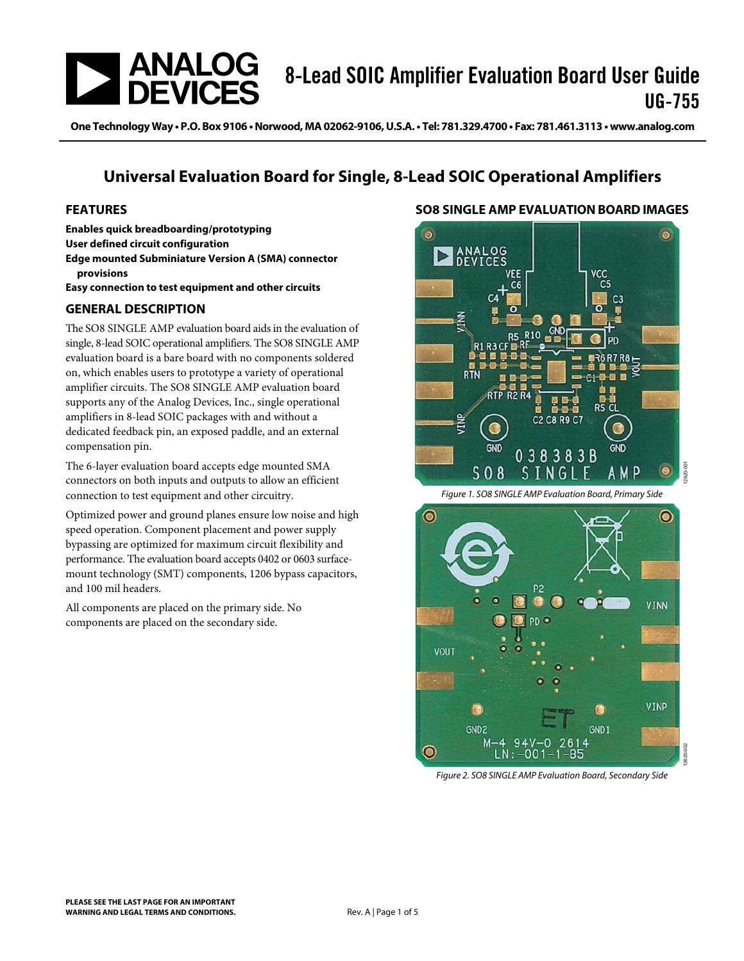

One Technology Way · P.O. Box 9106 · Norwood, MA 02062-9106, U.S.A. · Tel: 781.329.4700 · Fax: 781.461.3113 · www.analog.com

## **Universal Evaluation Board for Single, 8-Lead SOIC Operational Amplifiers**

#### <span id="page-0-0"></span>**FEATURES**

**Enables quick breadboarding/prototyping User defined circuit configuration Edge mounted Subminiature Version A (SMA) connector provisions** 

**Easy connection to test equipment and other circuits** 

#### <span id="page-0-1"></span>**GENERAL DESCRIPTION**

The SO8 SINGLE AMP evaluation board aids in the evaluation of single, 8-lead SOIC operational amplifiers. The SO8 SINGLE AMP evaluation board is a bare board with no components soldered on, which enables users to prototype a variety of operational amplifier circuits. The SO8 SINGLE AMP evaluation board supports any of the Analog Devices, Inc., single operational amplifiers in 8-lead SOIC packages with and without a dedicated feedback pin, an exposed paddle, and an external compensation pin.

The 6-layer evaluation board accepts edge mounted SMA connectors on both inputs and outputs to allow an efficient connection to test equipment and other circuitry.

Optimized power and ground planes ensure low noise and high speed operation. Component placement and power supply bypassing are optimized for maximum circuit flexibility and performance. The evaluation board accepts 0402 or 0603 surfacemount technology (SMT) components, 1206 bypass capacitors, and 100 mil headers.

All components are placed on the primary side. No components are placed on the secondary side.

#### <span id="page-0-2"></span>**SO8 SINGLE AMP EVALUATION BOARD IMAGES**



Figure 1. [SO8 SINGLE AMP E](http://www.analog.com/UG-755?doc=UG-755.pdf)valuation Board, Primary Side



Figure 2. [SO8 SINGLE AMP E](http://www.analog.com/UG-755?doc=UG-755.pdf)valuation Board, Secondary Side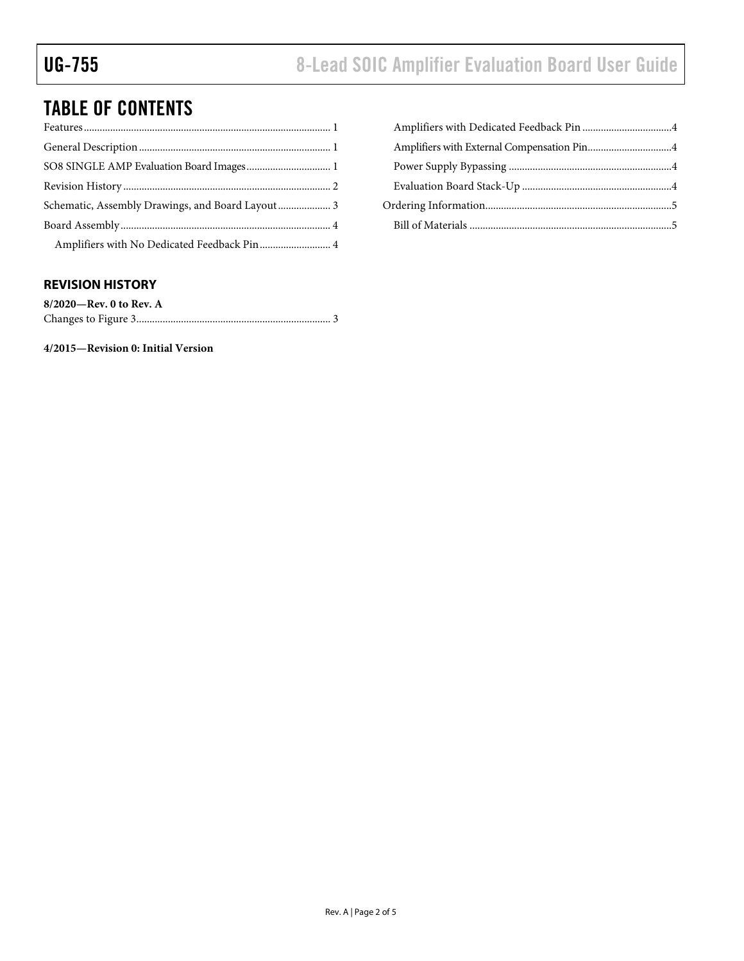# TABLE OF CONTENTS

| Schematic, Assembly Drawings, and Board Layout 3 |
|--------------------------------------------------|
|                                                  |
| Amplifiers with No Dedicated Feedback Pin 4      |

### <span id="page-1-0"></span>**REVISION HISTORY**

| $8/2020$ —Rev. 0 to Rev. A |  |
|----------------------------|--|
|                            |  |

**4/2015—Revision 0: Initial Version**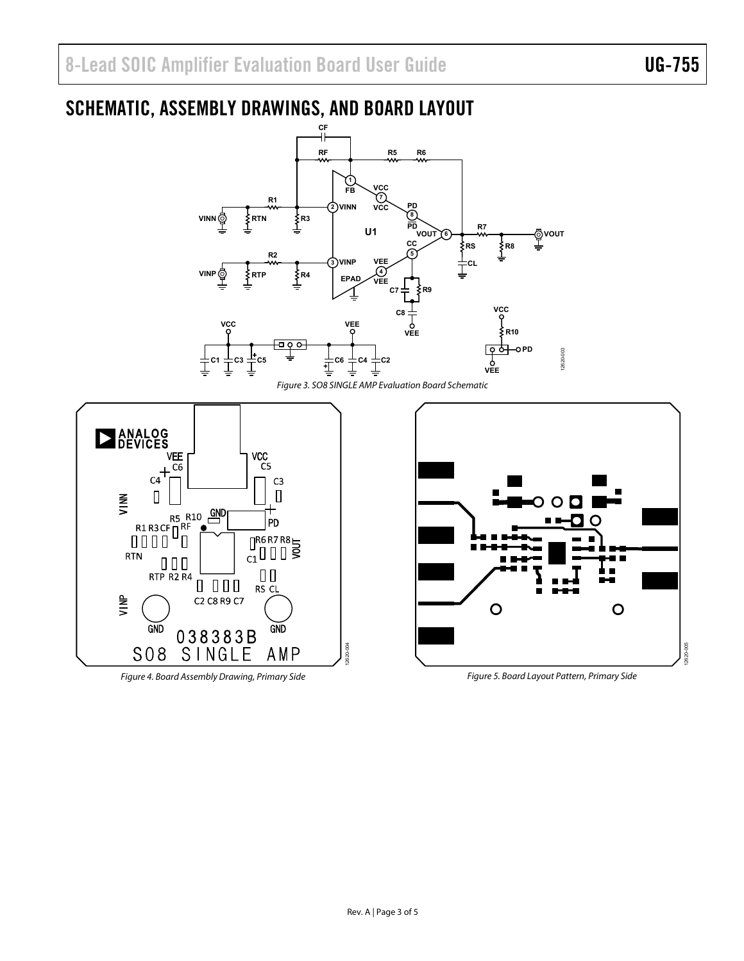<span id="page-2-0"></span>

Figure 4. Board Assembly Drawing, Primary Side

Figure 5. Board Layout Pattern, Primary Side

 $\circ$ 

12620-005

2620-005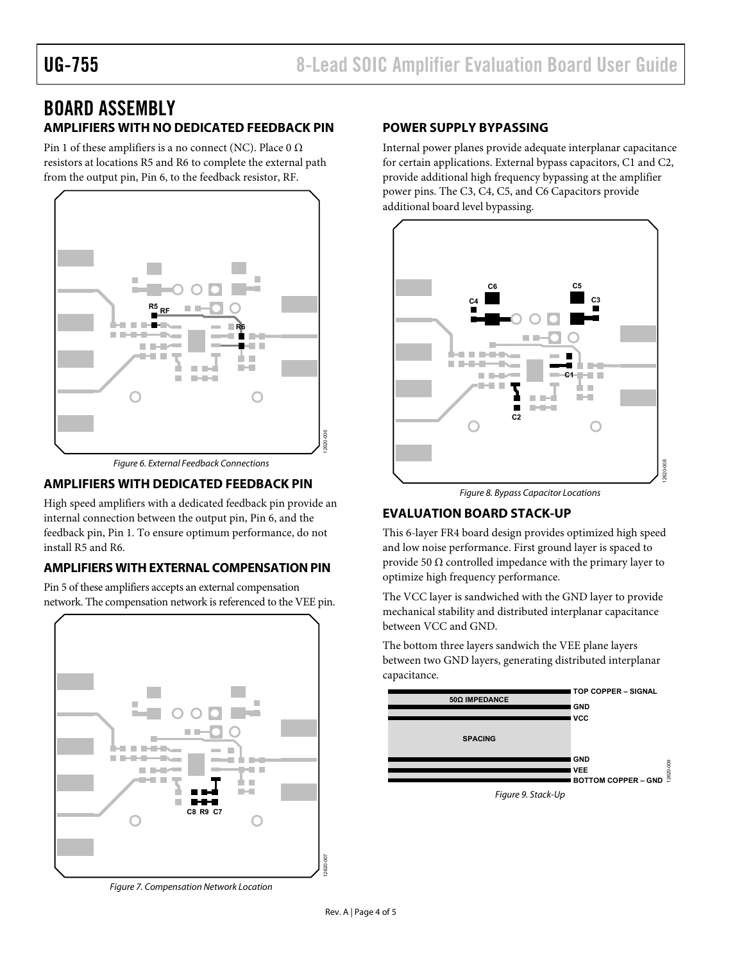## <span id="page-3-0"></span>BOARD ASSEMBLY **AMPLIFIERS WITH NO DEDICATED FEEDBACK PIN**

<span id="page-3-1"></span>Pin 1 of these amplifiers is a no connect (NC). Place  $0 \Omega$ resistors at locations R5 and R6 to complete the external path from the output pin, Pin 6, to the feedback resistor, RF.



Figure 6. External Feedback Connections

### <span id="page-3-2"></span>**AMPLIFIERS WITH DEDICATED FEEDBACK PIN**

High speed amplifiers with a dedicated feedback pin provide an internal connection between the output pin, Pin 6, and the feedback pin, Pin 1. To ensure optimum performance, do not install R5 and R6.

### <span id="page-3-3"></span>**AMPLIFIERS WITH EXTERNAL COMPENSATION PIN**

Pin 5 of these amplifiers accepts an external compensation network. The compensation network is referenced to the VEE pin.



Figure 7. Compensation Network Location

#### <span id="page-3-4"></span>**POWER SUPPLY BYPASSING**

Internal power planes provide adequate interplanar capacitance for certain applications. External bypass capacitors, C1 and C2, provide additional high frequency bypassing at the amplifier power pins. The C3, C4, C5, and C6 Capacitors provide additional board level bypassing.



Figure 8. Bypass Capacitor Locations

#### <span id="page-3-5"></span>**EVALUATION BOARD STACK-UP**

This 6-layer FR4 board design provides optimized high speed and low noise performance. First ground layer is spaced to provide 50  $\Omega$  controlled impedance with the primary layer to optimize high frequency performance.

The VCC layer is sandwiched with the GND layer to provide mechanical stability and distributed interplanar capacitance between VCC and GND.

The bottom three layers sandwich the VEE plane layers between two GND layers, generating distributed interplanar capacitance.